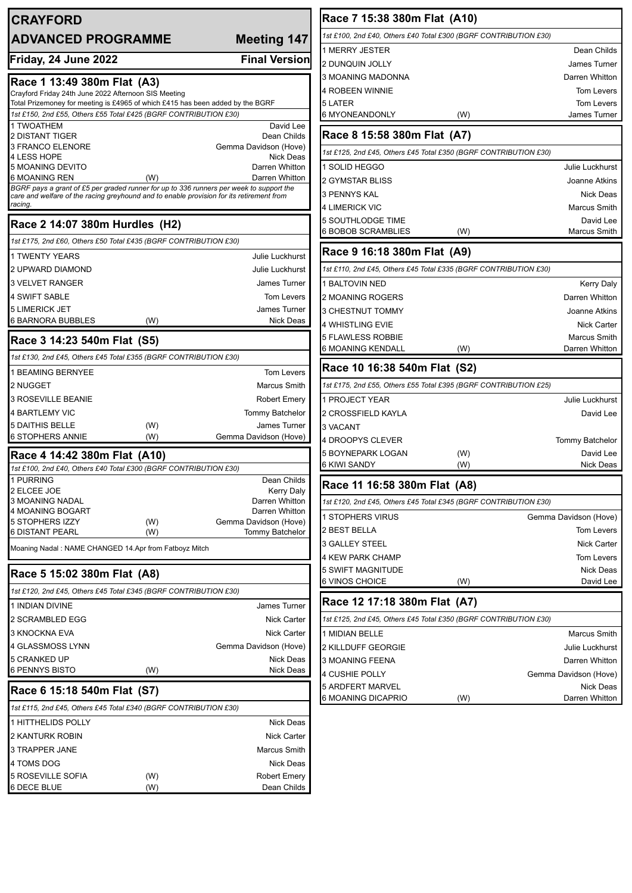| <b>CRAYFORD</b>                                                                                                                                    |            |                                           | Race 7 15:38 380m Flat (A10)                                     |     |                                       |
|----------------------------------------------------------------------------------------------------------------------------------------------------|------------|-------------------------------------------|------------------------------------------------------------------|-----|---------------------------------------|
| <b>ADVANCED PROGRAMME</b>                                                                                                                          |            | <b>Meeting 147</b>                        | 1st £100, 2nd £40, Others £40 Total £300 (BGRF CONTRIBUTION £30) |     |                                       |
|                                                                                                                                                    |            |                                           | 1 MERRY JESTER                                                   |     | Dean Childs                           |
| Friday, 24 June 2022                                                                                                                               |            | <b>Final Version</b>                      | 2 DUNQUIN JOLLY                                                  |     | <b>James Turner</b>                   |
| Race 1 13:49 380m Flat (A3)                                                                                                                        |            |                                           | 3 MOANING MADONNA                                                |     | Darren Whitton                        |
| Crayford Friday 24th June 2022 Afternoon SIS Meeting                                                                                               |            |                                           | 4 ROBEEN WINNIE                                                  |     | <b>Tom Levers</b>                     |
| Total Prizemoney for meeting is £4965 of which £415 has been added by the BGRF<br>1st £150, 2nd £55, Others £55 Total £425 (BGRF CONTRIBUTION £30) |            |                                           | 5 LATER<br>6 MYONEANDONLY                                        | (W) | <b>Tom Levers</b><br>James Turner     |
| 1 TWOATHEM                                                                                                                                         |            | David Lee                                 |                                                                  |     |                                       |
| 2 DISTANT TIGER                                                                                                                                    |            | Dean Childs                               | Race 8 15:58 380m Flat (A7)                                      |     |                                       |
| 3 FRANCO ELENORE<br>4 LESS HOPE                                                                                                                    |            | Gemma Davidson (Hove)<br><b>Nick Deas</b> | 1st £125, 2nd £45, Others £45 Total £350 (BGRF CONTRIBUTION £30) |     |                                       |
| <b>5 MOANING DEVITO</b>                                                                                                                            |            | Darren Whitton                            | 1 SOLID HEGGO                                                    |     | Julie Luckhurst                       |
| 6 MOANING REN<br>BGRF pays a grant of £5 per graded runner for up to 336 runners per week to support the                                           | (W)        | Darren Whitton                            | <b>2 GYMSTAR BLISS</b>                                           |     | Joanne Atkins                         |
| care and welfare of the racing greyhound and to enable provision for its retirement from                                                           |            |                                           | <b>3 PENNYS KAL</b>                                              |     | <b>Nick Deas</b>                      |
| racing.                                                                                                                                            |            |                                           | 4 LIMERICK VIC                                                   |     | Marcus Smith                          |
| Race 2 14:07 380m Hurdles (H2)                                                                                                                     |            |                                           | 5 SOUTHLODGE TIME<br>6 BOBOB SCRAMBLIES                          | (W) | David Lee<br><b>Marcus Smith</b>      |
| 1st £175, 2nd £60, Others £50 Total £435 (BGRF CONTRIBUTION £30)                                                                                   |            |                                           |                                                                  |     |                                       |
| <b>1 TWENTY YEARS</b>                                                                                                                              |            | Julie Luckhurst                           | Race 9 16:18 380m Flat (A9)                                      |     |                                       |
| 2 UPWARD DIAMOND                                                                                                                                   |            | <b>Julie Luckhurst</b>                    | 1st £110, 2nd £45, Others £45 Total £335 (BGRF CONTRIBUTION £30) |     |                                       |
| 3 VELVET RANGER                                                                                                                                    |            | <b>James Turner</b>                       | <b>1 BALTOVIN NED</b>                                            |     | <b>Kerry Daly</b>                     |
| 4 SWIFT SABLE                                                                                                                                      |            | Tom Levers                                | 2 MOANING ROGERS                                                 |     | Darren Whitton                        |
| <b>5 LIMERICK JET</b><br><b>6 BARNORA BUBBLES</b>                                                                                                  |            | <b>James Turner</b>                       | 3 CHESTNUT TOMMY                                                 |     | Joanne Atkins                         |
|                                                                                                                                                    | (W)        | Nick Deas                                 | 4 WHISTLING EVIE                                                 |     | <b>Nick Carter</b>                    |
| Race 3 14:23 540m Flat (S5)                                                                                                                        |            |                                           | 5 FLAWLESS ROBBIE<br>6 MOANING KENDALL                           | (W) | <b>Marcus Smith</b><br>Darren Whitton |
| 1st £130, 2nd £45, Others £45 Total £355 (BGRF CONTRIBUTION £30)                                                                                   |            |                                           |                                                                  |     |                                       |
| <b>1 BEAMING BERNYEE</b>                                                                                                                           |            | <b>Tom Levers</b>                         | Race 10 16:38 540m Flat (S2)                                     |     |                                       |
| 2 NUGGET                                                                                                                                           |            | Marcus Smith                              | 1st £175, 2nd £55, Others £55 Total £395 (BGRF CONTRIBUTION £25) |     |                                       |
| <b>3 ROSEVILLE BEANIE</b>                                                                                                                          |            | <b>Robert Emery</b>                       | 1 PROJECT YEAR                                                   |     | Julie Luckhurst                       |
| 4 BARTLEMY VIC                                                                                                                                     |            | <b>Tommy Batchelor</b>                    | 2 CROSSFIELD KAYLA                                               |     | David Lee                             |
| <b>5 DAITHIS BELLE</b><br><b>6 STOPHERS ANNIE</b>                                                                                                  | (W)<br>(W) | James Turner<br>Gemma Davidson (Hove)     | 3 VACANT                                                         |     |                                       |
|                                                                                                                                                    |            |                                           | <b>4 DROOPYS CLEVER</b><br>5 BOYNEPARK LOGAN                     | (W) | <b>Tommy Batchelor</b><br>David Lee   |
| Race 4 14:42 380m Flat (A10)<br>1st £100, 2nd £40, Others £40 Total £300 (BGRF CONTRIBUTION £30)                                                   |            |                                           | 6 KIWI SANDY                                                     | (W) | <b>Nick Deas</b>                      |
| 1 PURRING                                                                                                                                          |            | Dean Childs                               | Race 11 16:58 380m Flat (A8)                                     |     |                                       |
| 2 ELCEE JOE<br>3 MOANING NADAL                                                                                                                     |            | <b>Kerry Daly</b><br>Darren Whitton       |                                                                  |     |                                       |
| 4 MOANING BOGART                                                                                                                                   |            | Darren Whitton                            | 1st £120, 2nd £45, Others £45 Total £345 (BGRF CONTRIBUTION £30) |     |                                       |
| 5 STOPHERS IZZY                                                                                                                                    | (W)        | Gemma Davidson (Hove)                     | 1 STOPHERS VIRUS<br>2 BEST BELLA                                 |     | Gemma Davidson (Hove)                 |
| <b>6 DISTANT PEARL</b>                                                                                                                             | (W)        | <b>Tommy Batchelor</b>                    | 3 GALLEY STEEL                                                   |     | Tom Levers<br><b>Nick Carter</b>      |
| Moaning Nadal: NAME CHANGED 14.Apr from Fatboyz Mitch                                                                                              |            |                                           | 4 KEW PARK CHAMP                                                 |     | <b>Tom Levers</b>                     |
| Race 5 15:02 380m Flat (A8)                                                                                                                        |            |                                           | 5 SWIFT MAGNITUDE                                                |     | <b>Nick Deas</b>                      |
|                                                                                                                                                    |            |                                           | 6 VINOS CHOICE                                                   | (W) | David Lee                             |
| 1st £120, 2nd £45, Others £45 Total £345 (BGRF CONTRIBUTION £30)                                                                                   |            |                                           | Race 12 17:18 380m Flat (A7)                                     |     |                                       |
| 1 INDIAN DIVINE<br>2 SCRAMBLED EGG                                                                                                                 |            | James Turner<br><b>Nick Carter</b>        | 1st £125, 2nd £45, Others £45 Total £350 (BGRF CONTRIBUTION £30) |     |                                       |
| 3 KNOCKNA EVA                                                                                                                                      |            | <b>Nick Carter</b>                        | 1 MIDIAN BELLE                                                   |     | Marcus Smith                          |
| 4 GLASSMOSS LYNN                                                                                                                                   |            | Gemma Davidson (Hove)                     | 2 KILLDUFF GEORGIE                                               |     | Julie Luckhurst                       |
| 5 CRANKED UP                                                                                                                                       |            | <b>Nick Deas</b>                          | 3 MOANING FEENA                                                  |     | Darren Whitton                        |
| 6 PENNYS BISTO                                                                                                                                     | (W)        | Nick Deas                                 | 4 CUSHIE POLLY                                                   |     | Gemma Davidson (Hove)                 |
| Race 6 15:18 540m Flat (S7)                                                                                                                        |            |                                           | 5 ARDFERT MARVEL                                                 |     | <b>Nick Deas</b>                      |
| 1st £115, 2nd £45, Others £45 Total £340 (BGRF CONTRIBUTION £30)                                                                                   |            |                                           | 6 MOANING DICAPRIO                                               | (W) | Darren Whitton                        |
| 1 HITTHELIDS POLLY                                                                                                                                 |            | <b>Nick Deas</b>                          |                                                                  |     |                                       |
| 2 KANTURK ROBIN                                                                                                                                    |            | <b>Nick Carter</b>                        |                                                                  |     |                                       |
| 3 TRAPPER JANE                                                                                                                                     |            | Marcus Smith                              |                                                                  |     |                                       |
| 4 TOMS DOG                                                                                                                                         |            | <b>Nick Deas</b>                          |                                                                  |     |                                       |
| <b>5 ROSEVILLE SOFIA</b>                                                                                                                           | (W)        | <b>Robert Emery</b>                       |                                                                  |     |                                       |
| 6 DECE BLUE                                                                                                                                        | (W)        | Dean Childs                               |                                                                  |     |                                       |